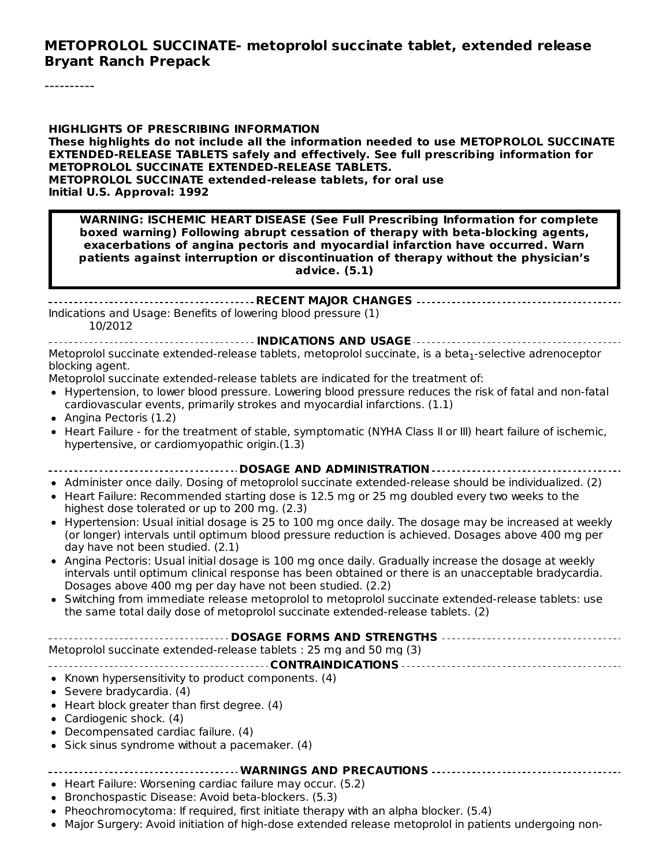#### **METOPROLOL SUCCINATE- metoprolol succinate tablet, extended release Bryant Ranch Prepack**

**HIGHLIGHTS OF PRESCRIBING INFORMATION These highlights do not include all the information needed to use METOPROLOL SUCCINATE EXTENDED-RELEASE TABLETS safely and effectively. See full prescribing information for METOPROLOL SUCCINATE EXTENDED-RELEASE TABLETS. METOPROLOL SUCCINATE extended-release tablets, for oral use Initial U.S. Approval: 1992**

**WARNING: ISCHEMIC HEART DISEASE (See Full Prescribing Information for complete boxed warning) Following abrupt cessation of therapy with beta-blocking agents, exacerbations of angina pectoris and myocardial infarction have occurred. Warn patients against interruption or discontinuation of therapy without the physician's advice. (5.1)**

**RECENT MAJOR CHANGES** Indications and Usage: Benefits of lowering blood pressure (1) 10/2012

**INDICATIONS AND USAGE** Metoprolol succinate extended-release tablets, metoprolol succinate, is a beta<sub>1</sub>-selective adrenoceptor blocking agent.

Metoprolol succinate extended-release tablets are indicated for the treatment of:

- Hypertension, to lower blood pressure. Lowering blood pressure reduces the risk of fatal and non-fatal cardiovascular events, primarily strokes and myocardial infarctions. (1.1)
- Angina Pectoris (1.2)
- Heart Failure for the treatment of stable, symptomatic (NYHA Class II or III) heart failure of ischemic, hypertensive, or cardiomyopathic origin.(1.3)

**DOSAGE AND ADMINISTRATION**

- Administer once daily. Dosing of metoprolol succinate extended-release should be individualized. (2)
- Heart Failure: Recommended starting dose is 12.5 mg or 25 mg doubled every two weeks to the highest dose tolerated or up to 200 mg. (2.3)
- Hypertension: Usual initial dosage is 25 to 100 mg once daily. The dosage may be increased at weekly (or longer) intervals until optimum blood pressure reduction is achieved. Dosages above 400 mg per day have not been studied. (2.1)
- Angina Pectoris: Usual initial dosage is 100 mg once daily. Gradually increase the dosage at weekly intervals until optimum clinical response has been obtained or there is an unacceptable bradycardia. Dosages above 400 mg per day have not been studied. (2.2)
- Switching from immediate release metoprolol to metoprolol succinate extended-release tablets: use the same total daily dose of metoprolol succinate extended-release tablets. (2)

| ------------------------------------DOSAGE FORMS AND STRENGTHS ----------------------------------- |  |  |  |  |
|----------------------------------------------------------------------------------------------------|--|--|--|--|
| Metoprolol succinate extended-release tablets : 25 mg and 50 mg (3)                                |  |  |  |  |
|                                                                                                    |  |  |  |  |
| • Known hypersensitivity to product components. (4)                                                |  |  |  |  |
| • Severe bradycardia. $(4)$                                                                        |  |  |  |  |
| $\bullet$ Heart block greater than first degree. (4)                                               |  |  |  |  |
| • Cardiogenic shock. (4)                                                                           |  |  |  |  |
| • Decompensated cardiac failure. (4)                                                               |  |  |  |  |
| • Sick sinus syndrome without a pacemaker. $(4)$                                                   |  |  |  |  |
|                                                                                                    |  |  |  |  |

**WARNINGS AND PRECAUTIONS**

- Heart Failure: Worsening cardiac failure may occur. (5.2)
- Bronchospastic Disease: Avoid beta-blockers. (5.3)
- Pheochromocytoma: If required, first initiate therapy with an alpha blocker. (5.4)
- Major Surgery: Avoid initiation of high-dose extended release metoprolol in patients undergoing non-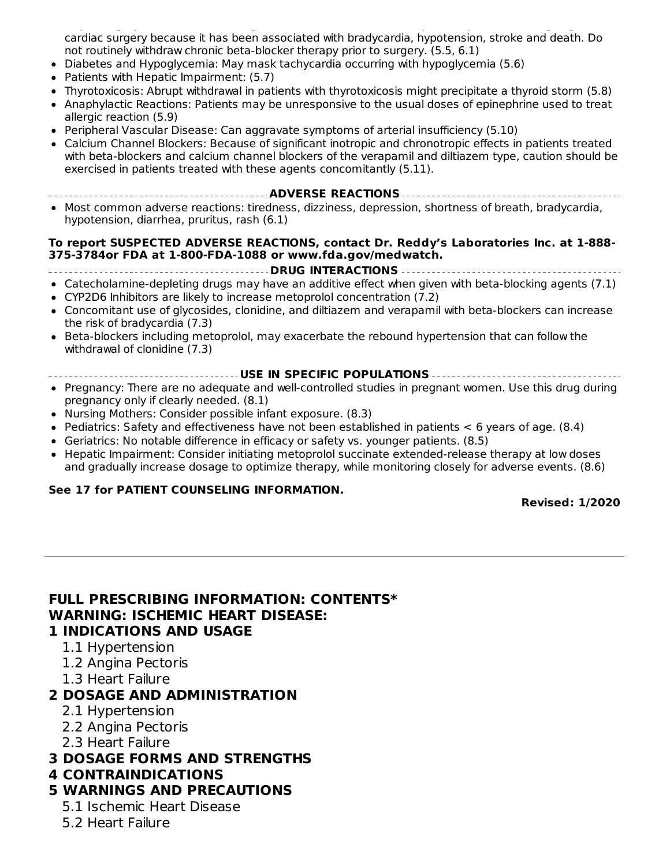Major Surgery: Avoid initiation of high-dose extended release metoprolol in patients undergoing noncardiac surgery because it has been associated with bradycardia, hypotension, stroke and death. Do not routinely withdraw chronic beta-blocker therapy prior to surgery. (5.5, 6.1)

- Diabetes and Hypoglycemia: May mask tachycardia occurring with hypoglycemia (5.6)
- Patients with Hepatic Impairment: (5.7)
- Thyrotoxicosis: Abrupt withdrawal in patients with thyrotoxicosis might precipitate a thyroid storm (5.8)
- Anaphylactic Reactions: Patients may be unresponsive to the usual doses of epinephrine used to treat allergic reaction (5.9)
- Peripheral Vascular Disease: Can aggravate symptoms of arterial insufficiency (5.10)
- Calcium Channel Blockers: Because of significant inotropic and chronotropic effects in patients treated with beta-blockers and calcium channel blockers of the verapamil and diltiazem type, caution should be exercised in patients treated with these agents concomitantly (5.11).
- **ADVERSE REACTIONS**
- Most common adverse reactions: tiredness, dizziness, depression, shortness of breath, bradycardia, hypotension, diarrhea, pruritus, rash (6.1)

#### **To report SUSPECTED ADVERSE REACTIONS, contact Dr. Reddy's Laboratories Inc. at 1-888- 375-3784or FDA at 1-800-FDA-1088 or www.fda.gov/medwatch.**

```
DRUG INTERACTIONS
```
- Catecholamine-depleting drugs may have an additive effect when given with beta-blocking agents (7.1)
- CYP2D6 Inhibitors are likely to increase metoprolol concentration (7.2)
- Concomitant use of glycosides, clonidine, and diltiazem and verapamil with beta-blockers can increase the risk of bradycardia (7.3)
- Beta-blockers including metoprolol, may exacerbate the rebound hypertension that can follow the withdrawal of clonidine (7.3)
- **USE IN SPECIFIC POPULATIONS**
- Pregnancy: There are no adequate and well-controlled studies in pregnant women. Use this drug during pregnancy only if clearly needed. (8.1)
- Nursing Mothers: Consider possible infant exposure. (8.3)
- Pediatrics: Safety and effectiveness have not been established in patients  $<$  6 years of age. (8.4)
- Geriatrics: No notable difference in efficacy or safety vs. younger patients. (8.5)
- Hepatic Impairment: Consider initiating metoprolol succinate extended-release therapy at low doses and gradually increase dosage to optimize therapy, while monitoring closely for adverse events. (8.6)

#### **See 17 for PATIENT COUNSELING INFORMATION.**

**Revised: 1/2020**

## **FULL PRESCRIBING INFORMATION: CONTENTS\* WARNING: ISCHEMIC HEART DISEASE:**

- **1 INDICATIONS AND USAGE**
	- 1.1 Hypertension
	- 1.2 Angina Pectoris
	- 1.3 Heart Failure

#### **2 DOSAGE AND ADMINISTRATION**

- 2.1 Hypertension
- 2.2 Angina Pectoris
- 2.3 Heart Failure
- **3 DOSAGE FORMS AND STRENGTHS**

#### **4 CONTRAINDICATIONS**

- **5 WARNINGS AND PRECAUTIONS**
	- 5.1 Ischemic Heart Disease
	- 5.2 Heart Failure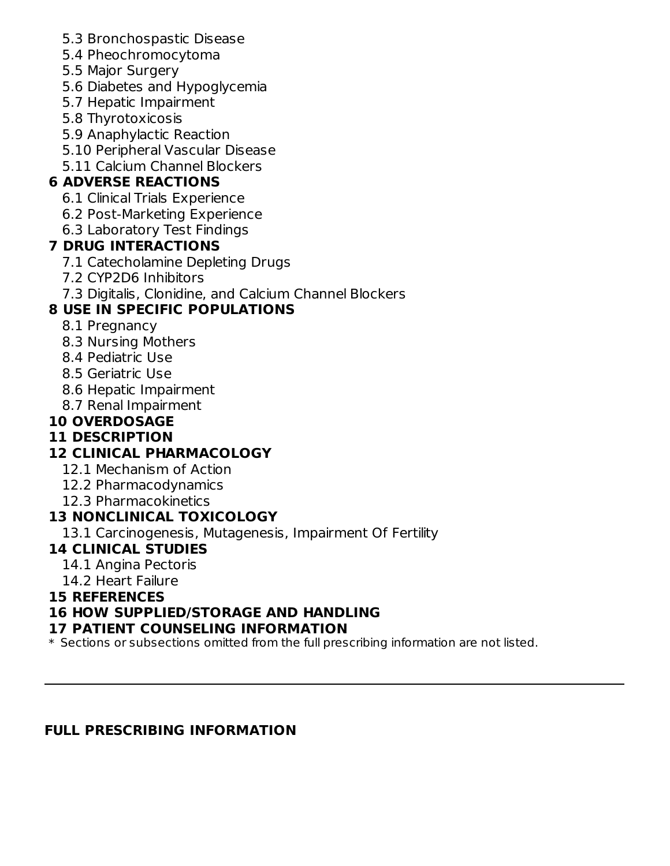- 5.3 Bronchospastic Disease
- 5.4 Pheochromocytoma
- 5.5 Major Surgery
- 5.6 Diabetes and Hypoglycemia
- 5.7 Hepatic Impairment
- 5.8 Thyrotoxicosis
- 5.9 Anaphylactic Reaction
- 5.10 Peripheral Vascular Disease
- 5.11 Calcium Channel Blockers

# **6 ADVERSE REACTIONS**

- 6.1 Clinical Trials Experience
- 6.2 Post-Marketing Experience
- 6.3 Laboratory Test Findings

## **7 DRUG INTERACTIONS**

- 7.1 Catecholamine Depleting Drugs
- 7.2 CYP2D6 Inhibitors
- 7.3 Digitalis, Clonidine, and Calcium Channel Blockers

# **8 USE IN SPECIFIC POPULATIONS**

- 8.1 Pregnancy
- 8.3 Nursing Mothers
- 8.4 Pediatric Use
- 8.5 Geriatric Use
- 8.6 Hepatic Impairment
- 8.7 Renal Impairment

# **10 OVERDOSAGE**

# **11 DESCRIPTION**

# **12 CLINICAL PHARMACOLOGY**

- 12.1 Mechanism of Action
- 12.2 Pharmacodynamics
- 12.3 Pharmacokinetics

# **13 NONCLINICAL TOXICOLOGY**

13.1 Carcinogenesis, Mutagenesis, Impairment Of Fertility

# **14 CLINICAL STUDIES**

- 14.1 Angina Pectoris
- 14.2 Heart Failure

#### **15 REFERENCES**

## **16 HOW SUPPLIED/STORAGE AND HANDLING**

#### **17 PATIENT COUNSELING INFORMATION**

\* Sections or subsections omitted from the full prescribing information are not listed.

## **FULL PRESCRIBING INFORMATION**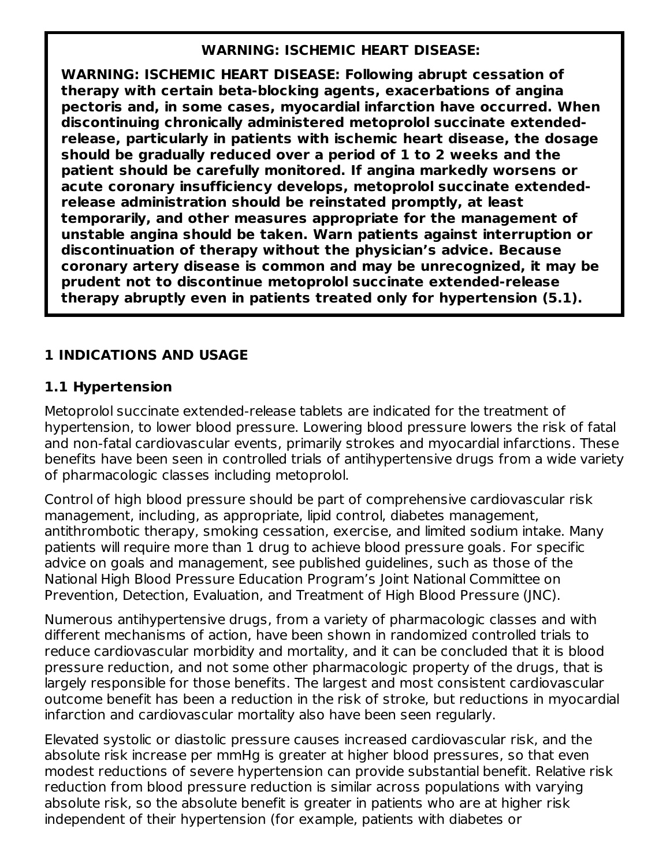#### **WARNING: ISCHEMIC HEART DISEASE:**

**WARNING: ISCHEMIC HEART DISEASE: Following abrupt cessation of therapy with certain beta-blocking agents, exacerbations of angina pectoris and, in some cases, myocardial infarction have occurred. When discontinuing chronically administered metoprolol succinate extendedrelease, particularly in patients with ischemic heart disease, the dosage should be gradually reduced over a period of 1 to 2 weeks and the patient should be carefully monitored. If angina markedly worsens or acute coronary insufficiency develops, metoprolol succinate extendedrelease administration should be reinstated promptly, at least temporarily, and other measures appropriate for the management of unstable angina should be taken. Warn patients against interruption or discontinuation of therapy without the physician's advice. Because coronary artery disease is common and may be unrecognized, it may be prudent not to discontinue metoprolol succinate extended-release therapy abruptly even in patients treated only for hypertension (5.1).**

### **1 INDICATIONS AND USAGE**

#### **1.1 Hypertension**

Metoprolol succinate extended-release tablets are indicated for the treatment of hypertension, to lower blood pressure. Lowering blood pressure lowers the risk of fatal and non-fatal cardiovascular events, primarily strokes and myocardial infarctions. These benefits have been seen in controlled trials of antihypertensive drugs from a wide variety of pharmacologic classes including metoprolol.

Control of high blood pressure should be part of comprehensive cardiovascular risk management, including, as appropriate, lipid control, diabetes management, antithrombotic therapy, smoking cessation, exercise, and limited sodium intake. Many patients will require more than 1 drug to achieve blood pressure goals. For specific advice on goals and management, see published guidelines, such as those of the National High Blood Pressure Education Program's Joint National Committee on Prevention, Detection, Evaluation, and Treatment of High Blood Pressure (JNC).

Numerous antihypertensive drugs, from a variety of pharmacologic classes and with different mechanisms of action, have been shown in randomized controlled trials to reduce cardiovascular morbidity and mortality, and it can be concluded that it is blood pressure reduction, and not some other pharmacologic property of the drugs, that is largely responsible for those benefits. The largest and most consistent cardiovascular outcome benefit has been a reduction in the risk of stroke, but reductions in myocardial infarction and cardiovascular mortality also have been seen regularly.

Elevated systolic or diastolic pressure causes increased cardiovascular risk, and the absolute risk increase per mmHg is greater at higher blood pressures, so that even modest reductions of severe hypertension can provide substantial benefit. Relative risk reduction from blood pressure reduction is similar across populations with varying absolute risk, so the absolute benefit is greater in patients who are at higher risk independent of their hypertension (for example, patients with diabetes or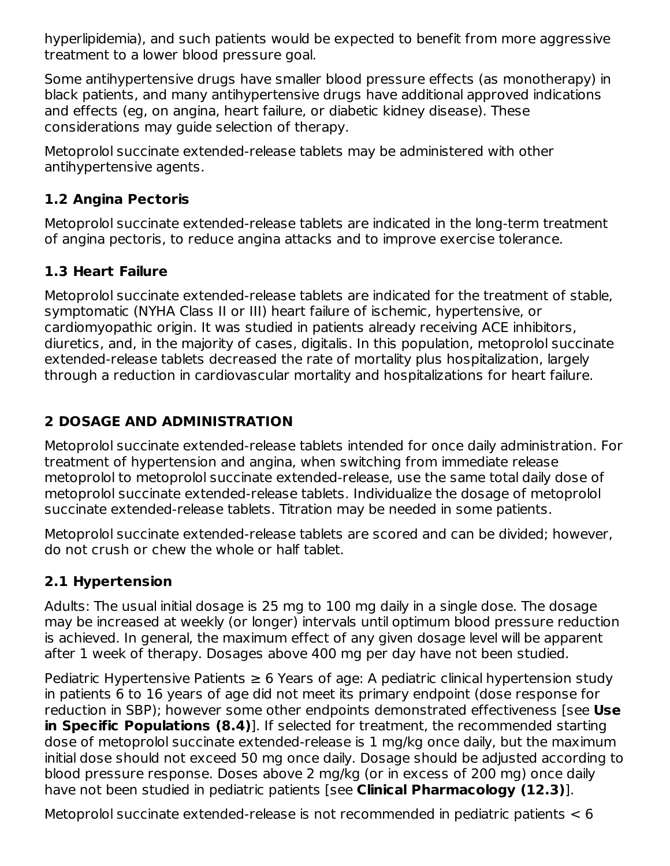hyperlipidemia), and such patients would be expected to benefit from more aggressive treatment to a lower blood pressure goal.

Some antihypertensive drugs have smaller blood pressure effects (as monotherapy) in black patients, and many antihypertensive drugs have additional approved indications and effects (eg, on angina, heart failure, or diabetic kidney disease). These considerations may guide selection of therapy.

Metoprolol succinate extended-release tablets may be administered with other antihypertensive agents.

# **1.2 Angina Pectoris**

Metoprolol succinate extended-release tablets are indicated in the long-term treatment of angina pectoris, to reduce angina attacks and to improve exercise tolerance.

## **1.3 Heart Failure**

Metoprolol succinate extended-release tablets are indicated for the treatment of stable, symptomatic (NYHA Class II or III) heart failure of ischemic, hypertensive, or cardiomyopathic origin. It was studied in patients already receiving ACE inhibitors, diuretics, and, in the majority of cases, digitalis. In this population, metoprolol succinate extended-release tablets decreased the rate of mortality plus hospitalization, largely through a reduction in cardiovascular mortality and hospitalizations for heart failure.

## **2 DOSAGE AND ADMINISTRATION**

Metoprolol succinate extended-release tablets intended for once daily administration. For treatment of hypertension and angina, when switching from immediate release metoprolol to metoprolol succinate extended-release, use the same total daily dose of metoprolol succinate extended-release tablets. Individualize the dosage of metoprolol succinate extended-release tablets. Titration may be needed in some patients.

Metoprolol succinate extended-release tablets are scored and can be divided; however, do not crush or chew the whole or half tablet.

# **2.1 Hypertension**

Adults: The usual initial dosage is 25 mg to 100 mg daily in a single dose. The dosage may be increased at weekly (or longer) intervals until optimum blood pressure reduction is achieved. In general, the maximum effect of any given dosage level will be apparent after 1 week of therapy. Dosages above 400 mg per day have not been studied.

Pediatric Hypertensive Patients  $\geq 6$  Years of age: A pediatric clinical hypertension study in patients 6 to 16 years of age did not meet its primary endpoint (dose response for reduction in SBP); however some other endpoints demonstrated effectiveness [see **Use in Specific Populations (8.4)**]. If selected for treatment, the recommended starting dose of metoprolol succinate extended-release is 1 mg/kg once daily, but the maximum initial dose should not exceed 50 mg once daily. Dosage should be adjusted according to blood pressure response. Doses above 2 mg/kg (or in excess of 200 mg) once daily have not been studied in pediatric patients [see **Clinical Pharmacology (12.3)**].

Metoprolol succinate extended-release is not recommended in pediatric patients < 6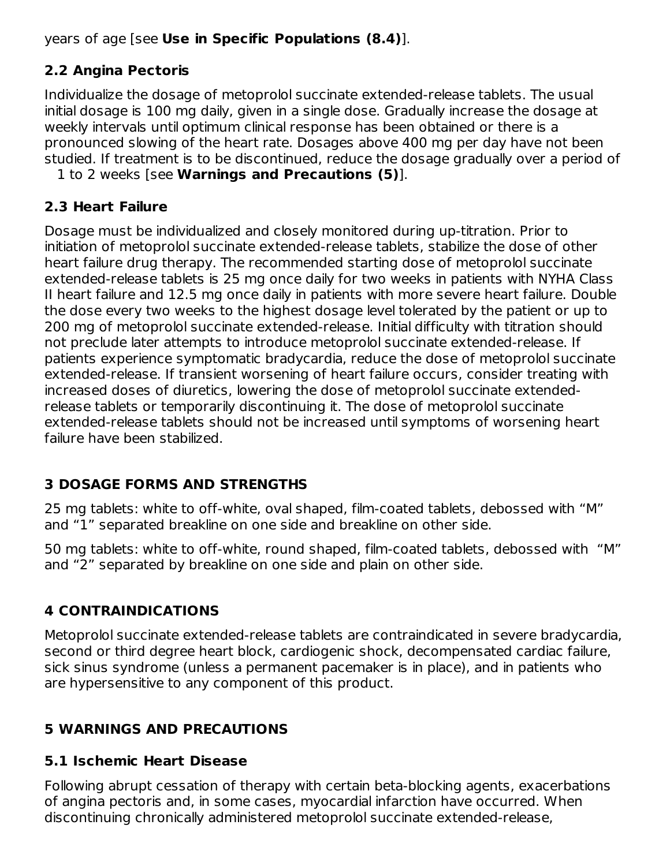years of age [see **Use in Specific Populations (8.4)**].

# **2.2 Angina Pectoris**

Individualize the dosage of metoprolol succinate extended-release tablets. The usual initial dosage is 100 mg daily, given in a single dose. Gradually increase the dosage at weekly intervals until optimum clinical response has been obtained or there is a pronounced slowing of the heart rate. Dosages above 400 mg per day have not been studied. If treatment is to be discontinued, reduce the dosage gradually over a period of

1 to 2 weeks [see **Warnings and Precautions (5)**].

## **2.3 Heart Failure**

Dosage must be individualized and closely monitored during up-titration. Prior to initiation of metoprolol succinate extended-release tablets, stabilize the dose of other heart failure drug therapy. The recommended starting dose of metoprolol succinate extended-release tablets is 25 mg once daily for two weeks in patients with NYHA Class II heart failure and 12.5 mg once daily in patients with more severe heart failure. Double the dose every two weeks to the highest dosage level tolerated by the patient or up to 200 mg of metoprolol succinate extended-release. Initial difficulty with titration should not preclude later attempts to introduce metoprolol succinate extended-release. If patients experience symptomatic bradycardia, reduce the dose of metoprolol succinate extended-release. If transient worsening of heart failure occurs, consider treating with increased doses of diuretics, lowering the dose of metoprolol succinate extendedrelease tablets or temporarily discontinuing it. The dose of metoprolol succinate extended-release tablets should not be increased until symptoms of worsening heart failure have been stabilized.

## **3 DOSAGE FORMS AND STRENGTHS**

25 mg tablets: white to off-white, oval shaped, film-coated tablets, debossed with "M" and "1" separated breakline on one side and breakline on other side.

50 mg tablets: white to off-white, round shaped, film-coated tablets, debossed with "M" and "2" separated by breakline on one side and plain on other side.

# **4 CONTRAINDICATIONS**

Metoprolol succinate extended-release tablets are contraindicated in severe bradycardia, second or third degree heart block, cardiogenic shock, decompensated cardiac failure, sick sinus syndrome (unless a permanent pacemaker is in place), and in patients who are hypersensitive to any component of this product.

# **5 WARNINGS AND PRECAUTIONS**

## **5.1 Ischemic Heart Disease**

Following abrupt cessation of therapy with certain beta-blocking agents, exacerbations of angina pectoris and, in some cases, myocardial infarction have occurred. When discontinuing chronically administered metoprolol succinate extended-release,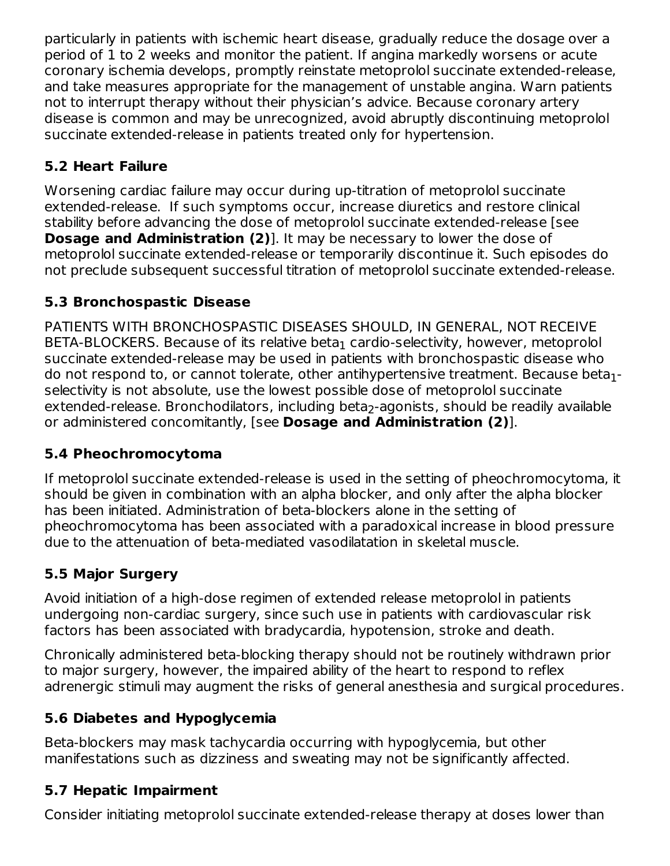particularly in patients with ischemic heart disease, gradually reduce the dosage over a period of 1 to 2 weeks and monitor the patient. If angina markedly worsens or acute coronary ischemia develops, promptly reinstate metoprolol succinate extended-release, and take measures appropriate for the management of unstable angina. Warn patients not to interrupt therapy without their physician's advice. Because coronary artery disease is common and may be unrecognized, avoid abruptly discontinuing metoprolol succinate extended-release in patients treated only for hypertension.

# **5.2 Heart Failure**

Worsening cardiac failure may occur during up-titration of metoprolol succinate extended-release. If such symptoms occur, increase diuretics and restore clinical stability before advancing the dose of metoprolol succinate extended-release [see **Dosage and Administration (2)**]. It may be necessary to lower the dose of metoprolol succinate extended-release or temporarily discontinue it. Such episodes do not preclude subsequent successful titration of metoprolol succinate extended-release.

# **5.3 Bronchospastic Disease**

PATIENTS WITH BRONCHOSPASTIC DISEASES SHOULD, IN GENERAL, NOT RECEIVE  $\mathsf{BETA}\text{-}\mathsf{BLOC} \mathsf{KERS}.$  Because of its relative beta $_1$  cardio-selectivity, however, metoprolol succinate extended-release may be used in patients with bronchospastic disease who do not respond to, or cannot tolerate, other antihypertensive treatment. Because beta $_{\rm 1}$ selectivity is not absolute, use the lowest possible dose of metoprolol succinate extended-release. Bronchodilators, including beta<sub>2</sub>-agonists, should be readily available or administered concomitantly, [see **Dosage and Administration (2)**].

# **5.4 Pheochromocytoma**

If metoprolol succinate extended-release is used in the setting of pheochromocytoma, it should be given in combination with an alpha blocker, and only after the alpha blocker has been initiated. Administration of beta-blockers alone in the setting of pheochromocytoma has been associated with a paradoxical increase in blood pressure due to the attenuation of beta-mediated vasodilatation in skeletal muscle.

# **5.5 Major Surgery**

Avoid initiation of a high-dose regimen of extended release metoprolol in patients undergoing non-cardiac surgery, since such use in patients with cardiovascular risk factors has been associated with bradycardia, hypotension, stroke and death.

Chronically administered beta-blocking therapy should not be routinely withdrawn prior to major surgery, however, the impaired ability of the heart to respond to reflex adrenergic stimuli may augment the risks of general anesthesia and surgical procedures.

# **5.6 Diabetes and Hypoglycemia**

Beta-blockers may mask tachycardia occurring with hypoglycemia, but other manifestations such as dizziness and sweating may not be significantly affected.

# **5.7 Hepatic Impairment**

Consider initiating metoprolol succinate extended-release therapy at doses lower than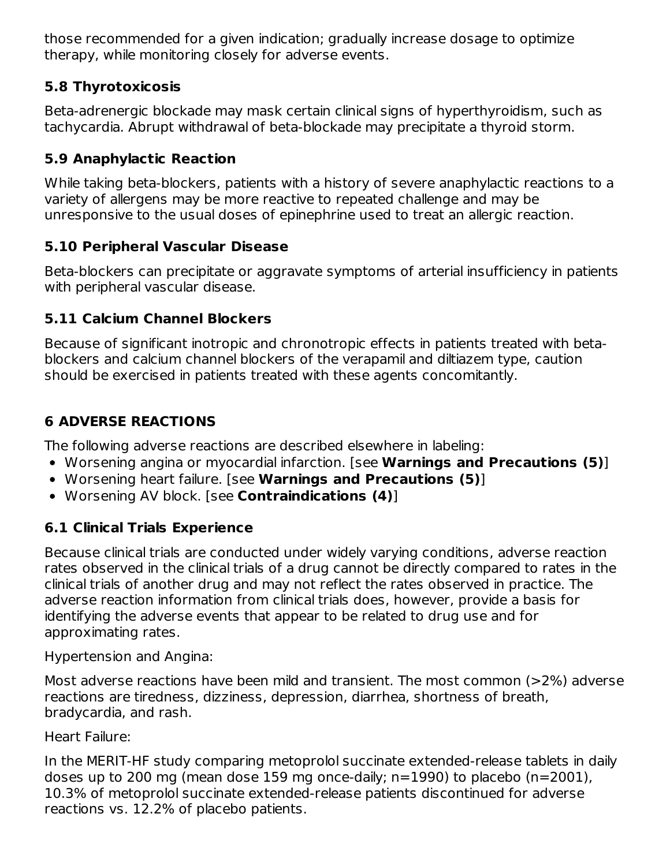those recommended for a given indication; gradually increase dosage to optimize therapy, while monitoring closely for adverse events.

#### **5.8 Thyrotoxicosis**

Beta-adrenergic blockade may mask certain clinical signs of hyperthyroidism, such as tachycardia. Abrupt withdrawal of beta-blockade may precipitate a thyroid storm.

## **5.9 Anaphylactic Reaction**

While taking beta-blockers, patients with a history of severe anaphylactic reactions to a variety of allergens may be more reactive to repeated challenge and may be unresponsive to the usual doses of epinephrine used to treat an allergic reaction.

### **5.10 Peripheral Vascular Disease**

Beta-blockers can precipitate or aggravate symptoms of arterial insufficiency in patients with peripheral vascular disease.

### **5.11 Calcium Channel Blockers**

Because of significant inotropic and chronotropic effects in patients treated with betablockers and calcium channel blockers of the verapamil and diltiazem type, caution should be exercised in patients treated with these agents concomitantly.

## **6 ADVERSE REACTIONS**

The following adverse reactions are described elsewhere in labeling:

- Worsening angina or myocardial infarction. [see **Warnings and Precautions (5)**]
- Worsening heart failure. [see **Warnings and Precautions (5)**]
- Worsening AV block. [see **Contraindications (4)**]

## **6.1 Clinical Trials Experience**

Because clinical trials are conducted under widely varying conditions, adverse reaction rates observed in the clinical trials of a drug cannot be directly compared to rates in the clinical trials of another drug and may not reflect the rates observed in practice. The adverse reaction information from clinical trials does, however, provide a basis for identifying the adverse events that appear to be related to drug use and for approximating rates.

Hypertension and Angina:

Most adverse reactions have been mild and transient. The most common (>2%) adverse reactions are tiredness, dizziness, depression, diarrhea, shortness of breath, bradycardia, and rash.

Heart Failure:

In the MERIT-HF study comparing metoprolol succinate extended-release tablets in daily doses up to 200 mg (mean dose 159 mg once-daily; n=1990) to placebo (n=2001), 10.3% of metoprolol succinate extended-release patients discontinued for adverse reactions vs. 12.2% of placebo patients.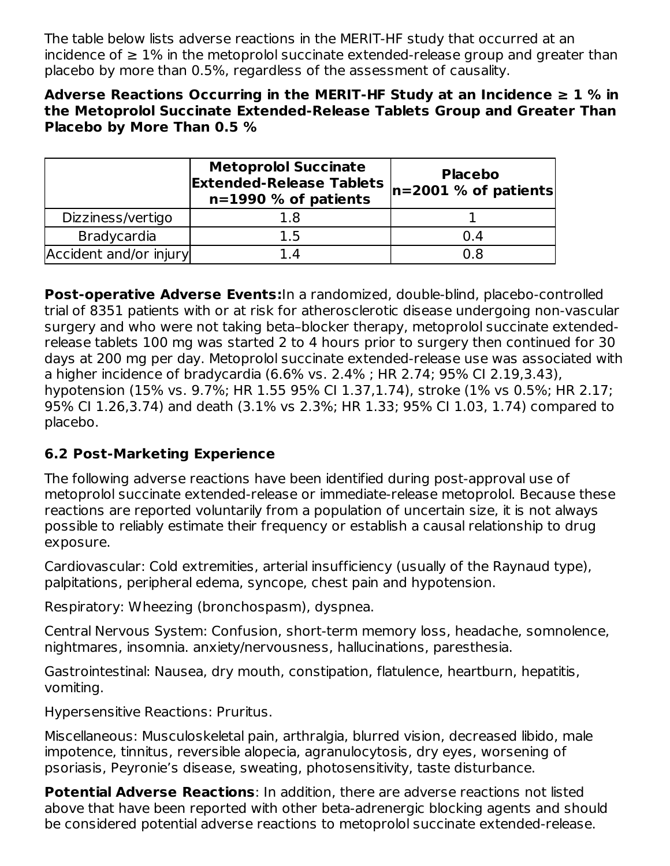The table below lists adverse reactions in the MERIT-HF study that occurred at an incidence of  $≥ 1\%$  in the metoprolol succinate extended-release group and greater than placebo by more than 0.5%, regardless of the assessment of causality.

#### **Adverse Reactions Occurring in the MERIT-HF Study at an Incidence ≥ 1 % in the Metoprolol Succinate Extended-Release Tablets Group and Greater Than Placebo by More Than 0.5 %**

|                        | <b>Metoprolol Succinate</b><br><b>Extended-Release Tablets</b><br>n=1990 % of patients | <b>Placebo</b><br>$ n=2001 \%$ of patients |
|------------------------|----------------------------------------------------------------------------------------|--------------------------------------------|
| Dizziness/vertigo      | 1.8                                                                                    |                                            |
| <b>Bradycardia</b>     | 1.5                                                                                    | 0.4                                        |
| Accident and/or injury | 1.4                                                                                    | Ი ጸ                                        |

**Post-operative Adverse Events:**In a randomized, double-blind, placebo-controlled trial of 8351 patients with or at risk for atherosclerotic disease undergoing non-vascular surgery and who were not taking beta–blocker therapy, metoprolol succinate extendedrelease tablets 100 mg was started 2 to 4 hours prior to surgery then continued for 30 days at 200 mg per day. Metoprolol succinate extended-release use was associated with a higher incidence of bradycardia (6.6% vs. 2.4% ; HR 2.74; 95% CI 2.19,3.43), hypotension (15% vs. 9.7%; HR 1.55 95% CI 1.37,1.74), stroke (1% vs 0.5%; HR 2.17; 95% CI 1.26,3.74) and death (3.1% vs 2.3%; HR 1.33; 95% CI 1.03, 1.74) compared to placebo.

## **6.2 Post-Marketing Experience**

The following adverse reactions have been identified during post-approval use of metoprolol succinate extended-release or immediate-release metoprolol. Because these reactions are reported voluntarily from a population of uncertain size, it is not always possible to reliably estimate their frequency or establish a causal relationship to drug exposure.

Cardiovascular: Cold extremities, arterial insufficiency (usually of the Raynaud type), palpitations, peripheral edema, syncope, chest pain and hypotension.

Respiratory: Wheezing (bronchospasm), dyspnea.

Central Nervous System: Confusion, short-term memory loss, headache, somnolence, nightmares, insomnia. anxiety/nervousness, hallucinations, paresthesia.

Gastrointestinal: Nausea, dry mouth, constipation, flatulence, heartburn, hepatitis, vomiting.

Hypersensitive Reactions: Pruritus.

Miscellaneous: Musculoskeletal pain, arthralgia, blurred vision, decreased libido, male impotence, tinnitus, reversible alopecia, agranulocytosis, dry eyes, worsening of psoriasis, Peyronie's disease, sweating, photosensitivity, taste disturbance.

**Potential Adverse Reactions**: In addition, there are adverse reactions not listed above that have been reported with other beta-adrenergic blocking agents and should be considered potential adverse reactions to metoprolol succinate extended-release.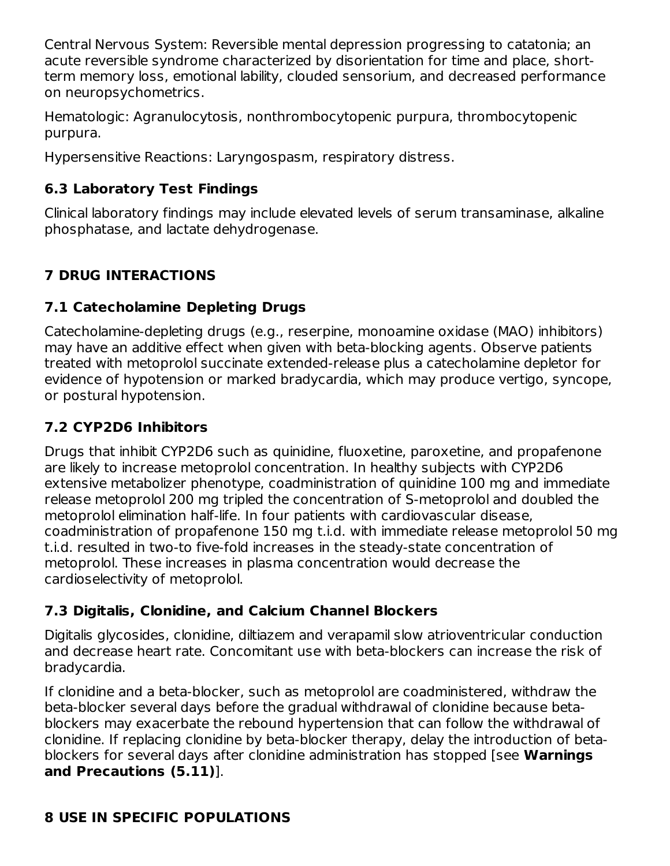Central Nervous System: Reversible mental depression progressing to catatonia; an acute reversible syndrome characterized by disorientation for time and place, shortterm memory loss, emotional lability, clouded sensorium, and decreased performance on neuropsychometrics.

Hematologic: Agranulocytosis, nonthrombocytopenic purpura, thrombocytopenic purpura.

Hypersensitive Reactions: Laryngospasm, respiratory distress.

### **6.3 Laboratory Test Findings**

Clinical laboratory findings may include elevated levels of serum transaminase, alkaline phosphatase, and lactate dehydrogenase.

# **7 DRUG INTERACTIONS**

### **7.1 Catecholamine Depleting Drugs**

Catecholamine-depleting drugs (e.g., reserpine, monoamine oxidase (MAO) inhibitors) may have an additive effect when given with beta-blocking agents. Observe patients treated with metoprolol succinate extended-release plus a catecholamine depletor for evidence of hypotension or marked bradycardia, which may produce vertigo, syncope, or postural hypotension.

### **7.2 CYP2D6 Inhibitors**

Drugs that inhibit CYP2D6 such as quinidine, fluoxetine, paroxetine, and propafenone are likely to increase metoprolol concentration. In healthy subjects with CYP2D6 extensive metabolizer phenotype, coadministration of quinidine 100 mg and immediate release metoprolol 200 mg tripled the concentration of S-metoprolol and doubled the metoprolol elimination half-life. In four patients with cardiovascular disease, coadministration of propafenone 150 mg t.i.d. with immediate release metoprolol 50 mg t.i.d. resulted in two-to five-fold increases in the steady-state concentration of metoprolol. These increases in plasma concentration would decrease the cardioselectivity of metoprolol.

#### **7.3 Digitalis, Clonidine, and Calcium Channel Blockers**

Digitalis glycosides, clonidine, diltiazem and verapamil slow atrioventricular conduction and decrease heart rate. Concomitant use with beta-blockers can increase the risk of bradycardia.

If clonidine and a beta-blocker, such as metoprolol are coadministered, withdraw the beta-blocker several days before the gradual withdrawal of clonidine because betablockers may exacerbate the rebound hypertension that can follow the withdrawal of clonidine. If replacing clonidine by beta-blocker therapy, delay the introduction of betablockers for several days after clonidine administration has stopped [see **Warnings and Precautions (5.11)**].

#### **8 USE IN SPECIFIC POPULATIONS**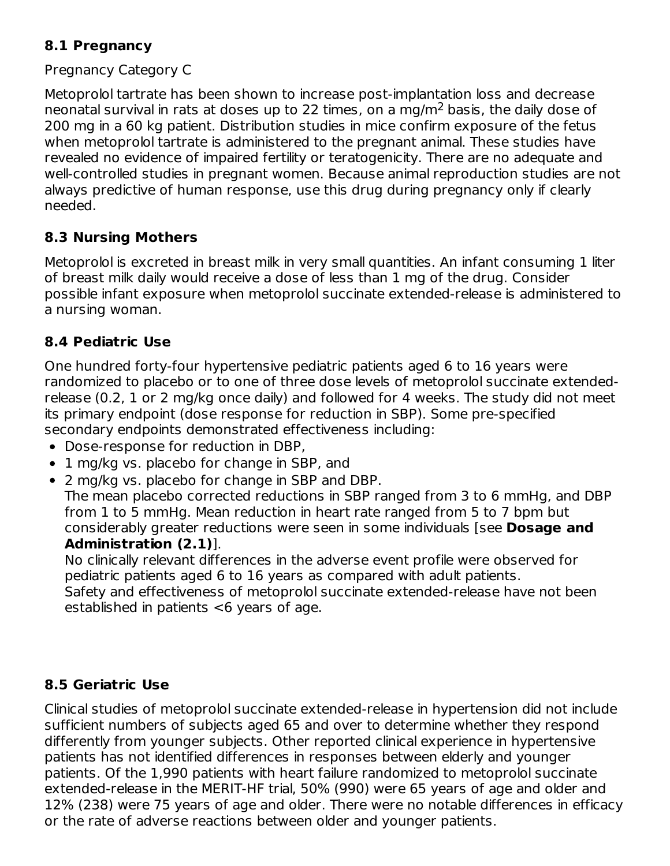#### **8.1 Pregnancy**

#### Pregnancy Category C

Metoprolol tartrate has been shown to increase post-implantation loss and decrease neonatal survival in rats at doses up to 22 times, on a mg/m<sup>2</sup> basis, the daily dose of 200 mg in a 60 kg patient. Distribution studies in mice confirm exposure of the fetus when metoprolol tartrate is administered to the pregnant animal. These studies have revealed no evidence of impaired fertility or teratogenicity. There are no adequate and well-controlled studies in pregnant women. Because animal reproduction studies are not always predictive of human response, use this drug during pregnancy only if clearly needed.

#### **8.3 Nursing Mothers**

Metoprolol is excreted in breast milk in very small quantities. An infant consuming 1 liter of breast milk daily would receive a dose of less than 1 mg of the drug. Consider possible infant exposure when metoprolol succinate extended-release is administered to a nursing woman.

#### **8.4 Pediatric Use**

One hundred forty-four hypertensive pediatric patients aged 6 to 16 years were randomized to placebo or to one of three dose levels of metoprolol succinate extendedrelease (0.2, 1 or 2 mg/kg once daily) and followed for 4 weeks. The study did not meet its primary endpoint (dose response for reduction in SBP). Some pre-specified secondary endpoints demonstrated effectiveness including:

- Dose-response for reduction in DBP,
- 1 mg/kg vs. placebo for change in SBP, and
- 2 mg/kg vs. placebo for change in SBP and DBP.

The mean placebo corrected reductions in SBP ranged from 3 to 6 mmHg, and DBP from 1 to 5 mmHg. Mean reduction in heart rate ranged from 5 to 7 bpm but considerably greater reductions were seen in some individuals [see **Dosage and Administration (2.1)**].

No clinically relevant differences in the adverse event profile were observed for pediatric patients aged 6 to 16 years as compared with adult patients. Safety and effectiveness of metoprolol succinate extended-release have not been established in patients <6 years of age.

#### **8.5 Geriatric Use**

Clinical studies of metoprolol succinate extended-release in hypertension did not include sufficient numbers of subjects aged 65 and over to determine whether they respond differently from younger subjects. Other reported clinical experience in hypertensive patients has not identified differences in responses between elderly and younger patients. Of the 1,990 patients with heart failure randomized to metoprolol succinate extended-release in the MERIT-HF trial, 50% (990) were 65 years of age and older and 12% (238) were 75 years of age and older. There were no notable differences in efficacy or the rate of adverse reactions between older and younger patients.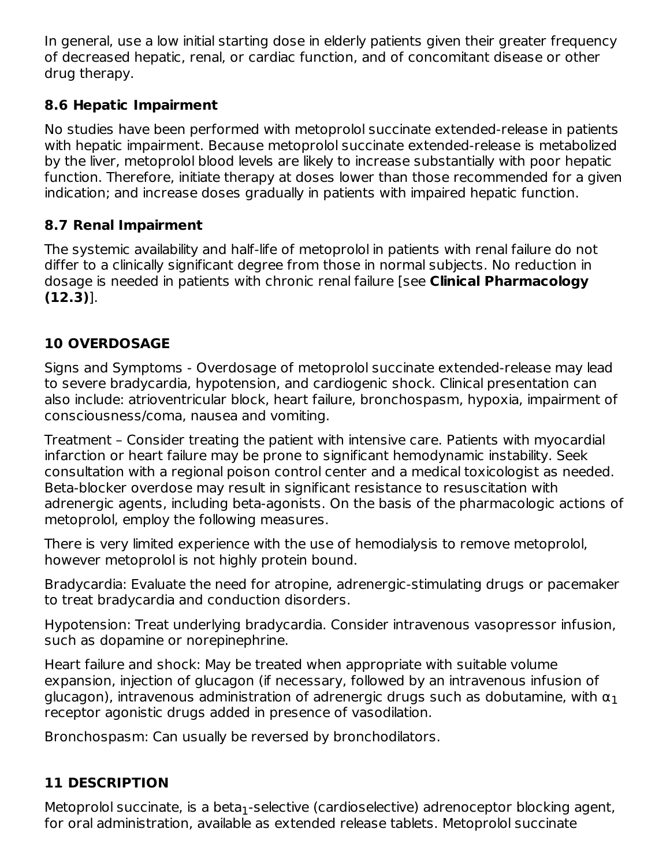In general, use a low initial starting dose in elderly patients given their greater frequency of decreased hepatic, renal, or cardiac function, and of concomitant disease or other drug therapy.

### **8.6 Hepatic Impairment**

No studies have been performed with metoprolol succinate extended-release in patients with hepatic impairment. Because metoprolol succinate extended-release is metabolized by the liver, metoprolol blood levels are likely to increase substantially with poor hepatic function. Therefore, initiate therapy at doses lower than those recommended for a given indication; and increase doses gradually in patients with impaired hepatic function.

### **8.7 Renal Impairment**

The systemic availability and half-life of metoprolol in patients with renal failure do not differ to a clinically significant degree from those in normal subjects. No reduction in dosage is needed in patients with chronic renal failure [see **Clinical Pharmacology (12.3)**].

# **10 OVERDOSAGE**

Signs and Symptoms - Overdosage of metoprolol succinate extended-release may lead to severe bradycardia, hypotension, and cardiogenic shock. Clinical presentation can also include: atrioventricular block, heart failure, bronchospasm, hypoxia, impairment of consciousness/coma, nausea and vomiting.

Treatment – Consider treating the patient with intensive care. Patients with myocardial infarction or heart failure may be prone to significant hemodynamic instability. Seek consultation with a regional poison control center and a medical toxicologist as needed. Beta-blocker overdose may result in significant resistance to resuscitation with adrenergic agents, including beta-agonists. On the basis of the pharmacologic actions of metoprolol, employ the following measures.

There is very limited experience with the use of hemodialysis to remove metoprolol, however metoprolol is not highly protein bound.

Bradycardia: Evaluate the need for atropine, adrenergic-stimulating drugs or pacemaker to treat bradycardia and conduction disorders.

Hypotension: Treat underlying bradycardia. Consider intravenous vasopressor infusion, such as dopamine or norepinephrine.

Heart failure and shock: May be treated when appropriate with suitable volume expansion, injection of glucagon (if necessary, followed by an intravenous infusion of glucagon), intravenous administration of adrenergic drugs such as dobutamine, with  $\bm{{\alpha}_1}$ receptor agonistic drugs added in presence of vasodilation.

Bronchospasm: Can usually be reversed by bronchodilators.

# **11 DESCRIPTION**

Metoprolol succinate, is a beta $_1$ -selective (cardioselective) adrenoceptor blocking agent, for oral administration, available as extended release tablets. Metoprolol succinate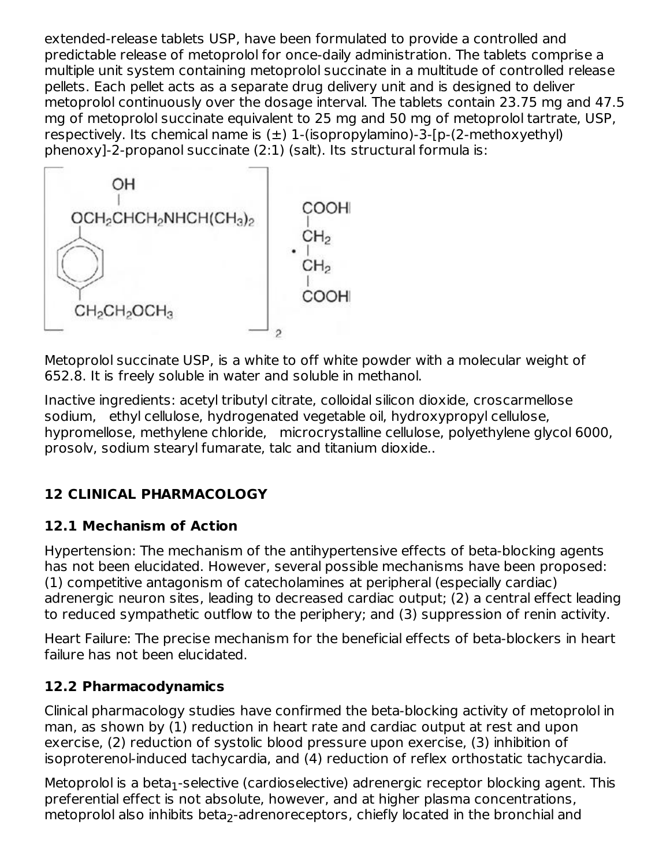extended-release tablets USP, have been formulated to provide a controlled and predictable release of metoprolol for once-daily administration. The tablets comprise a multiple unit system containing metoprolol succinate in a multitude of controlled release pellets. Each pellet acts as a separate drug delivery unit and is designed to deliver metoprolol continuously over the dosage interval. The tablets contain 23.75 mg and 47.5 mg of metoprolol succinate equivalent to 25 mg and 50 mg of metoprolol tartrate, USP, respectively. Its chemical name is  $(\pm)$  1-(isopropylamino)-3-[p-(2-methoxyethyl) phenoxy]-2-propanol succinate (2:1) (salt). Its structural formula is:



Metoprolol succinate USP, is a white to off white powder with a molecular weight of 652.8. It is freely soluble in water and soluble in methanol.

Inactive ingredients: acetyl tributyl citrate, colloidal silicon dioxide, croscarmellose sodium, ethyl cellulose, hydrogenated vegetable oil, hydroxypropyl cellulose, hypromellose, methylene chloride, microcrystalline cellulose, polyethylene glycol 6000, prosolv, sodium stearyl fumarate, talc and titanium dioxide..

# **12 CLINICAL PHARMACOLOGY**

## **12.1 Mechanism of Action**

Hypertension: The mechanism of the antihypertensive effects of beta-blocking agents has not been elucidated. However, several possible mechanisms have been proposed: (1) competitive antagonism of catecholamines at peripheral (especially cardiac) adrenergic neuron sites, leading to decreased cardiac output; (2) a central effect leading to reduced sympathetic outflow to the periphery; and (3) suppression of renin activity.

Heart Failure: The precise mechanism for the beneficial effects of beta-blockers in heart failure has not been elucidated.

## **12.2 Pharmacodynamics**

Clinical pharmacology studies have confirmed the beta-blocking activity of metoprolol in man, as shown by (1) reduction in heart rate and cardiac output at rest and upon exercise, (2) reduction of systolic blood pressure upon exercise, (3) inhibition of isoproterenol-induced tachycardia, and (4) reduction of reflex orthostatic tachycardia.

Metoprolol is a beta $_1$ -selective (cardioselective) adrenergic receptor blocking agent. This preferential effect is not absolute, however, and at higher plasma concentrations, metoprolol also inhibits beta<sub>2</sub>-adrenoreceptors, chiefly located in the bronchial and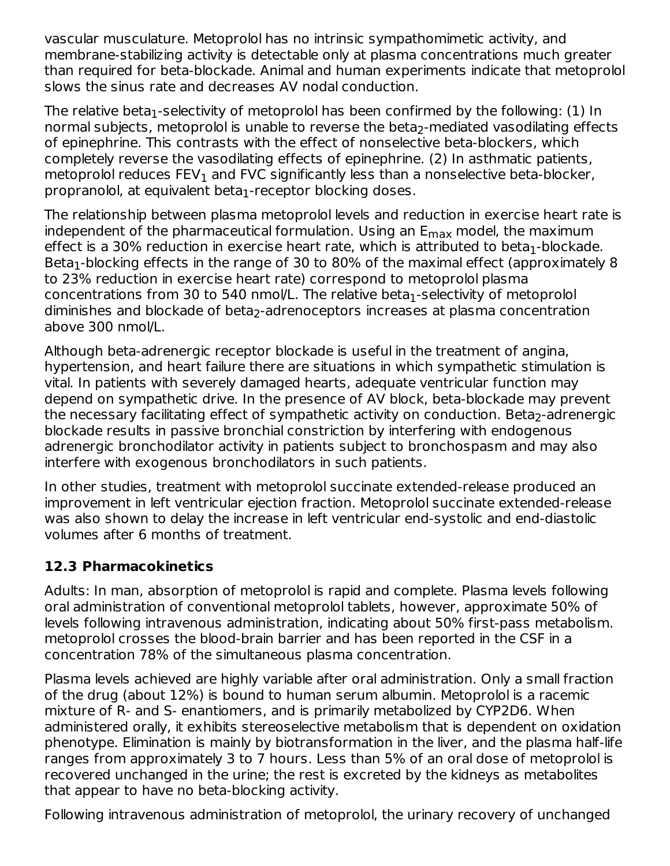vascular musculature. Metoprolol has no intrinsic sympathomimetic activity, and membrane-stabilizing activity is detectable only at plasma concentrations much greater than required for beta-blockade. Animal and human experiments indicate that metoprolol slows the sinus rate and decreases AV nodal conduction.

The relative beta $_1$ -selectivity of metoprolol has been confirmed by the following: (1) In normal subjects, metoprolol is unable to reverse the beta $_2$ -mediated vasodilating effects of epinephrine. This contrasts with the effect of nonselective beta-blockers, which completely reverse the vasodilating effects of epinephrine. (2) In asthmatic patients, metoprolol reduces  $\mathsf{FEV}_1$  and  $\mathsf{FVC}$  significantly less than a nonselective beta-blocker,  ${\sf propranolol}$ , at equivalent beta $_1$ -receptor blocking doses.

The relationship between plasma metoprolol levels and reduction in exercise heart rate is independent of the pharmaceutical formulation. Using an  ${\sf E}_{\sf max}$  model, the maximum effect is a 30% reduction in exercise heart rate, which is attributed to beta $_1$ -blockade. Beta $_1$ -blocking effects in the range of 30 to 80% of the maximal effect (approximately 8 to 23% reduction in exercise heart rate) correspond to metoprolol plasma concentrations from 30 to 540 nmol/L. The relative beta $_1$ -selectivity of metoprolol diminishes and blockade of beta<sub>2</sub>-adrenoceptors increases at plasma concentration above 300 nmol/L.

Although beta-adrenergic receptor blockade is useful in the treatment of angina, hypertension, and heart failure there are situations in which sympathetic stimulation is vital. In patients with severely damaged hearts, adequate ventricular function may depend on sympathetic drive. In the presence of AV block, beta-blockade may prevent the necessary facilitating effect of sympathetic activity on conduction. Beta<sub>2</sub>-adrenergic blockade results in passive bronchial constriction by interfering with endogenous adrenergic bronchodilator activity in patients subject to bronchospasm and may also interfere with exogenous bronchodilators in such patients.

In other studies, treatment with metoprolol succinate extended-release produced an improvement in left ventricular ejection fraction. Metoprolol succinate extended-release was also shown to delay the increase in left ventricular end-systolic and end-diastolic volumes after 6 months of treatment.

#### **12.3 Pharmacokinetics**

Adults: In man, absorption of metoprolol is rapid and complete. Plasma levels following oral administration of conventional metoprolol tablets, however, approximate 50% of levels following intravenous administration, indicating about 50% first-pass metabolism. metoprolol crosses the blood-brain barrier and has been reported in the CSF in a concentration 78% of the simultaneous plasma concentration.

Plasma levels achieved are highly variable after oral administration. Only a small fraction of the drug (about 12%) is bound to human serum albumin. Metoprolol is a racemic mixture of R- and S- enantiomers, and is primarily metabolized by CYP2D6. When administered orally, it exhibits stereoselective metabolism that is dependent on oxidation phenotype. Elimination is mainly by biotransformation in the liver, and the plasma half-life ranges from approximately 3 to 7 hours. Less than 5% of an oral dose of metoprolol is recovered unchanged in the urine; the rest is excreted by the kidneys as metabolites that appear to have no beta-blocking activity.

Following intravenous administration of metoprolol, the urinary recovery of unchanged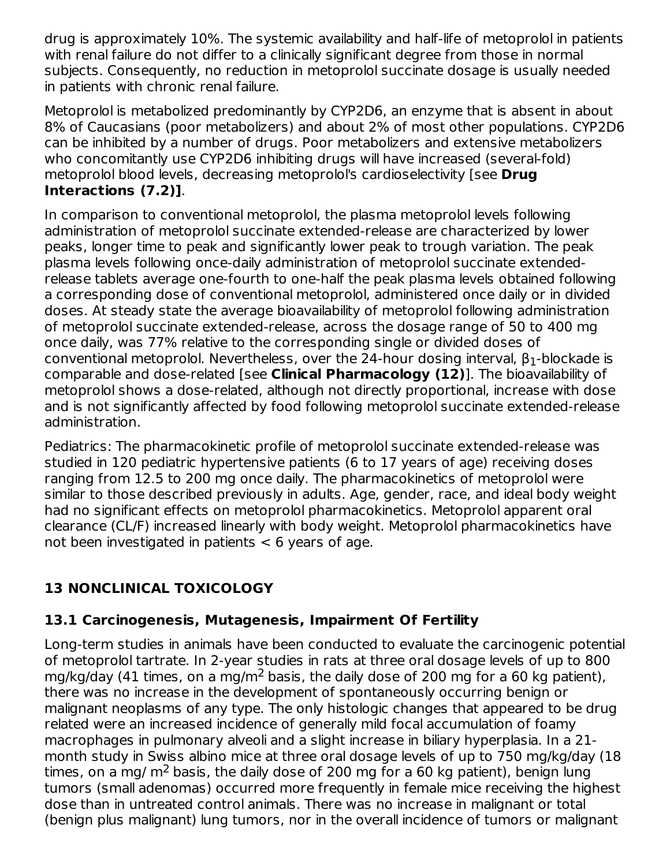drug is approximately 10%. The systemic availability and half-life of metoprolol in patients with renal failure do not differ to a clinically significant degree from those in normal subjects. Consequently, no reduction in metoprolol succinate dosage is usually needed in patients with chronic renal failure.

Metoprolol is metabolized predominantly by CYP2D6, an enzyme that is absent in about 8% of Caucasians (poor metabolizers) and about 2% of most other populations. CYP2D6 can be inhibited by a number of drugs. Poor metabolizers and extensive metabolizers who concomitantly use CYP2D6 inhibiting drugs will have increased (several-fold) metoprolol blood levels, decreasing metoprolol's cardioselectivity [see **Drug Interactions (7.2)]**.

In comparison to conventional metoprolol, the plasma metoprolol levels following administration of metoprolol succinate extended-release are characterized by lower peaks, longer time to peak and significantly lower peak to trough variation. The peak plasma levels following once-daily administration of metoprolol succinate extendedrelease tablets average one-fourth to one-half the peak plasma levels obtained following a corresponding dose of conventional metoprolol, administered once daily or in divided doses. At steady state the average bioavailability of metoprolol following administration of metoprolol succinate extended-release, across the dosage range of 50 to 400 mg once daily, was 77% relative to the corresponding single or divided doses of conventional metoprolol. Nevertheless, over the 24-hour dosing interval,  $\beta_1$ -blockade is comparable and dose-related [see **Clinical Pharmacology (12)**]. The bioavailability of metoprolol shows a dose-related, although not directly proportional, increase with dose and is not significantly affected by food following metoprolol succinate extended-release administration.

Pediatrics: The pharmacokinetic profile of metoprolol succinate extended-release was studied in 120 pediatric hypertensive patients (6 to 17 years of age) receiving doses ranging from 12.5 to 200 mg once daily. The pharmacokinetics of metoprolol were similar to those described previously in adults. Age, gender, race, and ideal body weight had no significant effects on metoprolol pharmacokinetics. Metoprolol apparent oral clearance (CL/F) increased linearly with body weight. Metoprolol pharmacokinetics have not been investigated in patients  $<$  6 years of age.

# **13 NONCLINICAL TOXICOLOGY**

## **13.1 Carcinogenesis, Mutagenesis, Impairment Of Fertility**

Long-term studies in animals have been conducted to evaluate the carcinogenic potential of metoprolol tartrate. In 2-year studies in rats at three oral dosage levels of up to 800 mg/kg/day (41 times, on a mg/m<sup>2</sup> basis, the daily dose of 200 mg for a 60 kg patient), there was no increase in the development of spontaneously occurring benign or malignant neoplasms of any type. The only histologic changes that appeared to be drug related were an increased incidence of generally mild focal accumulation of foamy macrophages in pulmonary alveoli and a slight increase in biliary hyperplasia. In a 21 month study in Swiss albino mice at three oral dosage levels of up to 750 mg/kg/day (18 times, on a mg/ m<sup>2</sup> basis, the daily dose of 200 mg for a 60 kg patient), benign lung tumors (small adenomas) occurred more frequently in female mice receiving the highest dose than in untreated control animals. There was no increase in malignant or total (benign plus malignant) lung tumors, nor in the overall incidence of tumors or malignant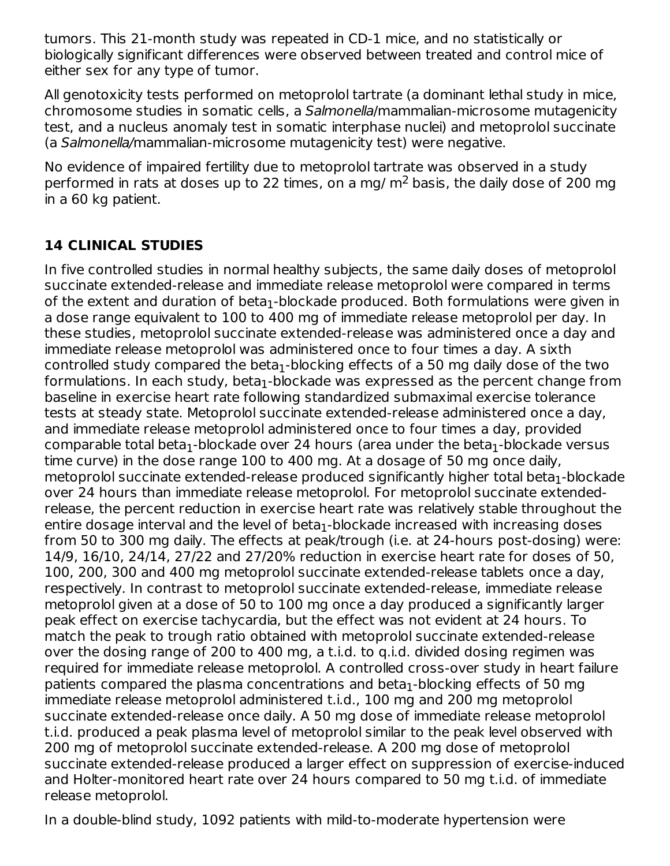tumors. This 21-month study was repeated in CD-1 mice, and no statistically or biologically significant differences were observed between treated and control mice of either sex for any type of tumor.

All genotoxicity tests performed on metoprolol tartrate (a dominant lethal study in mice, chromosome studies in somatic cells, a Salmonella/mammalian-microsome mutagenicity test, and a nucleus anomaly test in somatic interphase nuclei) and metoprolol succinate (a Salmonella/mammalian-microsome mutagenicity test) were negative.

No evidence of impaired fertility due to metoprolol tartrate was observed in a study performed in rats at doses up to 22 times, on a mg/  $\text{m}^2$  basis, the daily dose of 200 mg in a 60 kg patient.

# **14 CLINICAL STUDIES**

In five controlled studies in normal healthy subjects, the same daily doses of metoprolol succinate extended-release and immediate release metoprolol were compared in terms of the extent and duration of beta $_{\rm 1}$ -blockade produced. Both formulations were given in a dose range equivalent to 100 to 400 mg of immediate release metoprolol per day. In these studies, metoprolol succinate extended-release was administered once a day and immediate release metoprolol was administered once to four times a day. A sixth controlled study compared the beta $_1$ -blocking effects of a 50 mg daily dose of the two formulations. In each study, beta $_1$ -blockade was expressed as the percent change from baseline in exercise heart rate following standardized submaximal exercise tolerance tests at steady state. Metoprolol succinate extended-release administered once a day, and immediate release metoprolol administered once to four times a day, provided comparable total beta $_1$ -blockade over 24 hours (area under the beta $_1$ -blockade versus time curve) in the dose range 100 to 400 mg. At a dosage of 50 mg once daily, metoprolol succinate extended-release produced significantly higher total beta $_{\rm 1}$ -blockade over 24 hours than immediate release metoprolol. For metoprolol succinate extendedrelease, the percent reduction in exercise heart rate was relatively stable throughout the entire dosage interval and the level of beta $_{\rm 1}$ -blockade increased with increasing doses from 50 to 300 mg daily. The effects at peak/trough (i.e. at 24-hours post-dosing) were: 14/9, 16/10, 24/14, 27/22 and 27/20% reduction in exercise heart rate for doses of 50, 100, 200, 300 and 400 mg metoprolol succinate extended-release tablets once a day, respectively. In contrast to metoprolol succinate extended-release, immediate release metoprolol given at a dose of 50 to 100 mg once a day produced a significantly larger peak effect on exercise tachycardia, but the effect was not evident at 24 hours. To match the peak to trough ratio obtained with metoprolol succinate extended-release over the dosing range of 200 to 400 mg, a t.i.d. to q.i.d. divided dosing regimen was required for immediate release metoprolol. A controlled cross-over study in heart failure patients compared the plasma concentrations and beta $_1$ -blocking effects of 50 mg immediate release metoprolol administered t.i.d., 100 mg and 200 mg metoprolol succinate extended-release once daily. A 50 mg dose of immediate release metoprolol t.i.d. produced a peak plasma level of metoprolol similar to the peak level observed with 200 mg of metoprolol succinate extended-release. A 200 mg dose of metoprolol succinate extended-release produced a larger effect on suppression of exercise-induced and Holter-monitored heart rate over 24 hours compared to 50 mg t.i.d. of immediate release metoprolol.

In a double-blind study, 1092 patients with mild-to-moderate hypertension were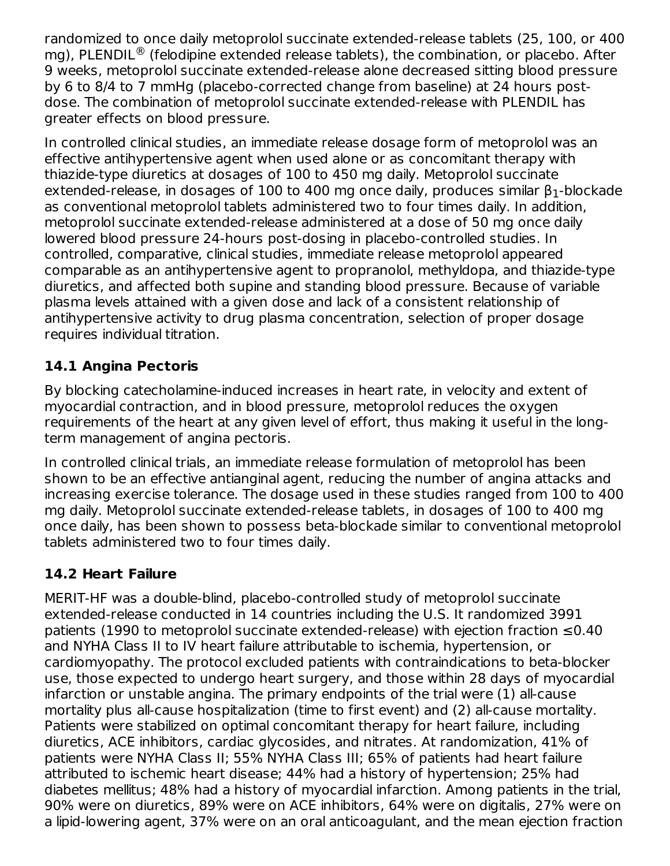randomized to once daily metoprolol succinate extended-release tablets (25, 100, or 400 mg), PLENDIL<sup>®</sup> (felodipine extended release tablets), the combination, or placebo. After 9 weeks, metoprolol succinate extended-release alone decreased sitting blood pressure by 6 to 8/4 to 7 mmHg (placebo-corrected change from baseline) at 24 hours postdose. The combination of metoprolol succinate extended-release with PLENDIL has greater effects on blood pressure.

In controlled clinical studies, an immediate release dosage form of metoprolol was an effective antihypertensive agent when used alone or as concomitant therapy with thiazide-type diuretics at dosages of 100 to 450 mg daily. Metoprolol succinate extended-release, in dosages of 100 to 400 mg once daily, produces similar  $\beta_1$ -blockade as conventional metoprolol tablets administered two to four times daily. In addition, metoprolol succinate extended-release administered at a dose of 50 mg once daily lowered blood pressure 24-hours post-dosing in placebo-controlled studies. In controlled, comparative, clinical studies, immediate release metoprolol appeared comparable as an antihypertensive agent to propranolol, methyldopa, and thiazide-type diuretics, and affected both supine and standing blood pressure. Because of variable plasma levels attained with a given dose and lack of a consistent relationship of antihypertensive activity to drug plasma concentration, selection of proper dosage requires individual titration.

#### **14.1 Angina Pectoris**

By blocking catecholamine-induced increases in heart rate, in velocity and extent of myocardial contraction, and in blood pressure, metoprolol reduces the oxygen requirements of the heart at any given level of effort, thus making it useful in the longterm management of angina pectoris.

In controlled clinical trials, an immediate release formulation of metoprolol has been shown to be an effective antianginal agent, reducing the number of angina attacks and increasing exercise tolerance. The dosage used in these studies ranged from 100 to 400 mg daily. Metoprolol succinate extended-release tablets, in dosages of 100 to 400 mg once daily, has been shown to possess beta-blockade similar to conventional metoprolol tablets administered two to four times daily.

## **14.2 Heart Failure**

MERIT-HF was a double-blind, placebo-controlled study of metoprolol succinate extended-release conducted in 14 countries including the U.S. It randomized 3991 patients (1990 to metoprolol succinate extended-release) with ejection fraction ≤0.40 and NYHA Class II to IV heart failure attributable to ischemia, hypertension, or cardiomyopathy. The protocol excluded patients with contraindications to beta-blocker use, those expected to undergo heart surgery, and those within 28 days of myocardial infarction or unstable angina. The primary endpoints of the trial were (1) all-cause mortality plus all-cause hospitalization (time to first event) and (2) all-cause mortality. Patients were stabilized on optimal concomitant therapy for heart failure, including diuretics, ACE inhibitors, cardiac glycosides, and nitrates. At randomization, 41% of patients were NYHA Class II; 55% NYHA Class III; 65% of patients had heart failure attributed to ischemic heart disease; 44% had a history of hypertension; 25% had diabetes mellitus; 48% had a history of myocardial infarction. Among patients in the trial, 90% were on diuretics, 89% were on ACE inhibitors, 64% were on digitalis, 27% were on a lipid-lowering agent, 37% were on an oral anticoagulant, and the mean ejection fraction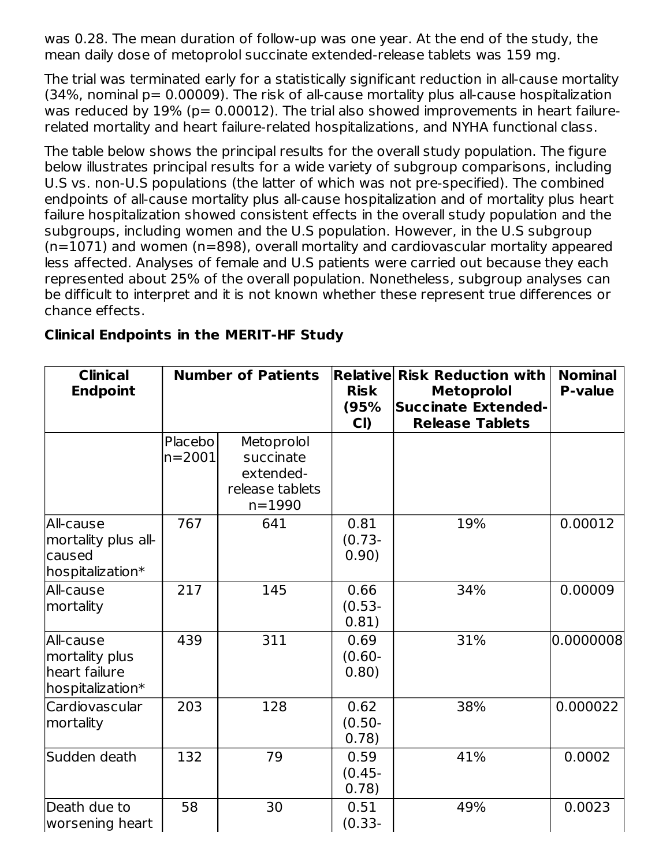was 0.28. The mean duration of follow-up was one year. At the end of the study, the mean daily dose of metoprolol succinate extended-release tablets was 159 mg.

The trial was terminated early for a statistically significant reduction in all-cause mortality (34%, nominal p= 0.00009). The risk of all-cause mortality plus all-cause hospitalization was reduced by  $19\%$  ( $p= 0.00012$ ). The trial also showed improvements in heart failurerelated mortality and heart failure-related hospitalizations, and NYHA functional class.

The table below shows the principal results for the overall study population. The figure below illustrates principal results for a wide variety of subgroup comparisons, including U.S vs. non-U.S populations (the latter of which was not pre-specified). The combined endpoints of all-cause mortality plus all-cause hospitalization and of mortality plus heart failure hospitalization showed consistent effects in the overall study population and the subgroups, including women and the U.S population. However, in the U.S subgroup (n=1071) and women (n=898), overall mortality and cardiovascular mortality appeared less affected. Analyses of female and U.S patients were carried out because they each represented about 25% of the overall population. Nonetheless, subgroup analyses can be difficult to interpret and it is not known whether these represent true differences or chance effects.

| <b>Clinical</b><br><b>Endpoint</b>                               |                       | <b>Number of Patients</b>                                             | <b>Risk</b><br>(95%<br>CI) | <b>Relative Risk Reduction with</b><br><b>Metoprolol</b><br><b>Succinate Extended-</b><br><b>Release Tablets</b> |           |
|------------------------------------------------------------------|-----------------------|-----------------------------------------------------------------------|----------------------------|------------------------------------------------------------------------------------------------------------------|-----------|
|                                                                  | Placebo<br>$n = 2001$ | Metoprolol<br>succinate<br>extended-<br>release tablets<br>$n = 1990$ |                            |                                                                                                                  |           |
| All-cause<br>mortality plus all-<br>caused<br>hospitalization*   | 767                   | 641                                                                   | 0.81<br>$(0.73 -$<br>0.90) | 19%                                                                                                              | 0.00012   |
| All-cause<br>mortality                                           | 217                   | 145                                                                   | 0.66<br>$(0.53 -$<br>0.81) | 34%                                                                                                              | 0.00009   |
| All-cause<br>mortality plus<br>heart failure<br>hospitalization* | 439                   | 311                                                                   | 0.69<br>$(0.60 -$<br>0.80) | 31%                                                                                                              | 0.0000008 |
| Cardiovascular<br>mortality                                      | 203                   | 128                                                                   | 0.62<br>$(0.50 -$<br>0.78) | 38%                                                                                                              | 0.000022  |
| Sudden death                                                     | 132                   | 79                                                                    | 0.59<br>$(0.45 -$<br>0.78) | 41%                                                                                                              | 0.0002    |
| Death due to<br>worsening heart                                  | 58                    | 30                                                                    | 0.51<br>$(0.33 -$          | 49%                                                                                                              | 0.0023    |

#### **Clinical Endpoints in the MERIT-HF Study**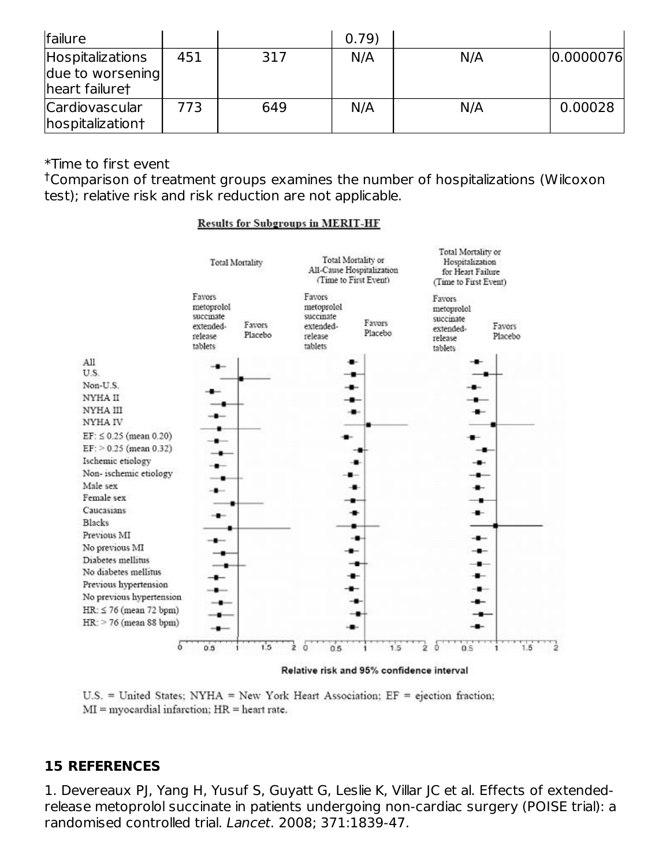| failure                                                       |     |     | 0.79) |     |             |
|---------------------------------------------------------------|-----|-----|-------|-----|-------------|
| <b>Hospitalizations</b><br>due to worsening<br>heart failuret | 451 | 317 | N/A   | N/A | [0.0000076] |
| Cardiovascular<br>hospitalization†                            | 773 | 649 | N/A   | N/A | 0.00028     |

#### \*Time to first event

Comparison of treatment groups examines the number of hospitalizations (Wilcoxon †test); relative risk and risk reduction are not applicable.

#### **Results for Subgroups in MERIT-HF**



Relative risk and 95% confidence interval

U.S. = United States; NYHA = New York Heart Association; EF = ejection fraction;  $MI = myocardial infarction$ ;  $HR = heart rate$ .

#### **15 REFERENCES**

1. Devereaux PJ, Yang H, Yusuf S, Guyatt G, Leslie K, Villar JC et al. Effects of extendedrelease metoprolol succinate in patients undergoing non-cardiac surgery (POISE trial): a randomised controlled trial. Lancet. 2008; 371:1839-47.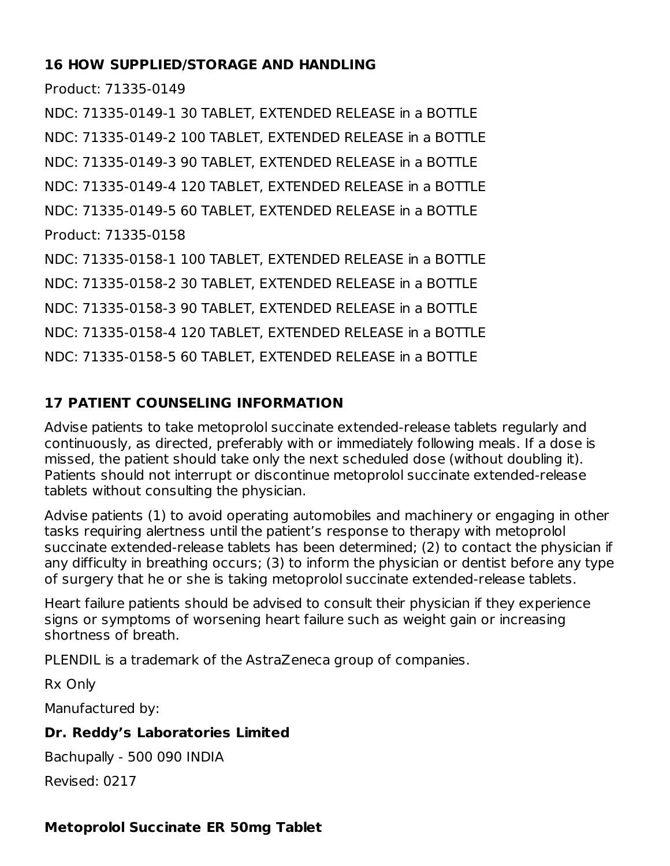### **16 HOW SUPPLIED/STORAGE AND HANDLING**

Product: 71335-0149

NDC: 71335-0149-1 30 TABLET, EXTENDED RELEASE in a BOTTLE NDC: 71335-0149-2 100 TABLET, EXTENDED RELEASE in a BOTTLE NDC: 71335-0149-3 90 TABLET, EXTENDED RELEASE in a BOTTLE NDC: 71335-0149-4 120 TABLET, EXTENDED RELEASE in a BOTTLE NDC: 71335-0149-5 60 TABLET, EXTENDED RELEASE in a BOTTLE Product: 71335-0158 NDC: 71335-0158-1 100 TABLET, EXTENDED RELEASE in a BOTTLE NDC: 71335-0158-2 30 TABLET, EXTENDED RELEASE in a BOTTLE NDC: 71335-0158-3 90 TABLET, EXTENDED RELEASE in a BOTTLE NDC: 71335-0158-4 120 TABLET, EXTENDED RELEASE in a BOTTLE NDC: 71335-0158-5 60 TABLET, EXTENDED RELEASE in a BOTTLE

# **17 PATIENT COUNSELING INFORMATION**

Advise patients to take metoprolol succinate extended-release tablets regularly and continuously, as directed, preferably with or immediately following meals. If a dose is missed, the patient should take only the next scheduled dose (without doubling it). Patients should not interrupt or discontinue metoprolol succinate extended-release tablets without consulting the physician.

Advise patients (1) to avoid operating automobiles and machinery or engaging in other tasks requiring alertness until the patient's response to therapy with metoprolol succinate extended-release tablets has been determined; (2) to contact the physician if any difficulty in breathing occurs; (3) to inform the physician or dentist before any type of surgery that he or she is taking metoprolol succinate extended-release tablets.

Heart failure patients should be advised to consult their physician if they experience signs or symptoms of worsening heart failure such as weight gain or increasing shortness of breath.

PLENDIL is a trademark of the AstraZeneca group of companies.

Rx Only

Manufactured by:

## **Dr. Reddy's Laboratories Limited**

Bachupally - 500 090 INDIA

Revised: 0217

## **Metoprolol Succinate ER 50mg Tablet**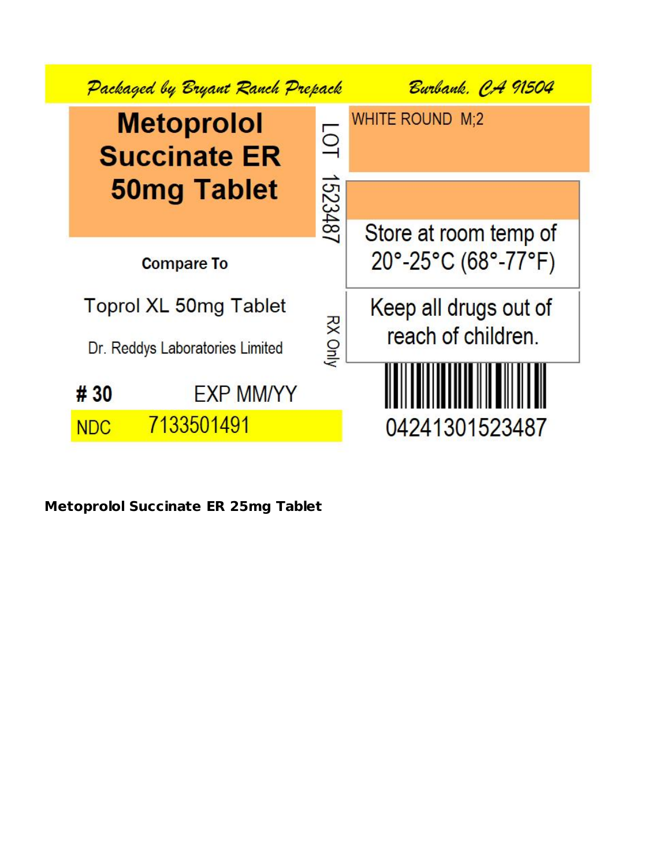

**Metoprolol Succinate ER 25mg Tablet**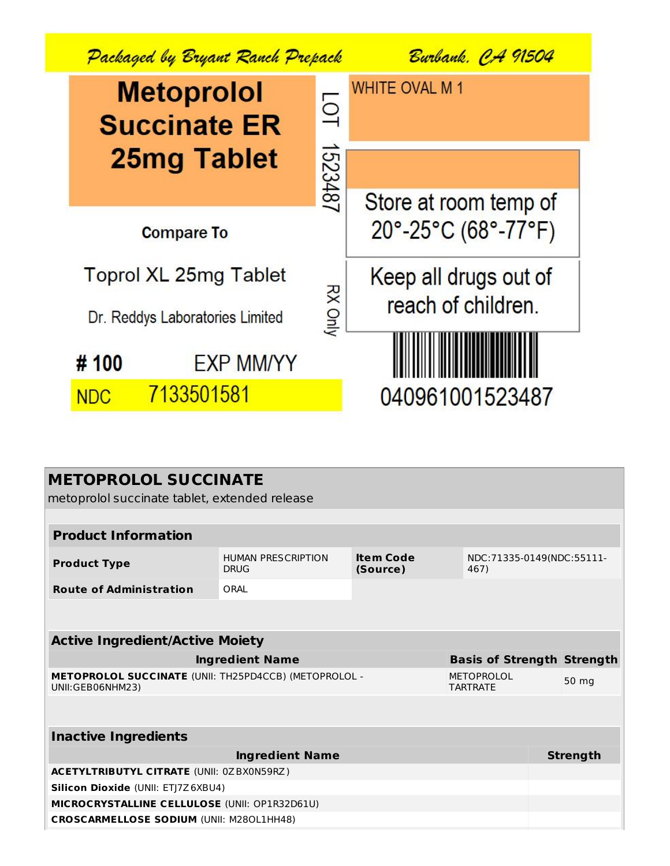

| <b>METOPROLOL SUCCINATE</b><br>metoprolol succinate tablet, extended release |                                          |                              |                                      |  |                 |
|------------------------------------------------------------------------------|------------------------------------------|------------------------------|--------------------------------------|--|-----------------|
|                                                                              |                                          |                              |                                      |  |                 |
| <b>Product Information</b>                                                   |                                          |                              |                                      |  |                 |
| <b>Product Type</b>                                                          | <b>HUMAN PRESCRIPTION</b><br><b>DRUG</b> | <b>Item Code</b><br>(Source) | NDC:71335-0149(NDC:55111-<br>467)    |  |                 |
| <b>Route of Administration</b>                                               | ORAI                                     |                              |                                      |  |                 |
|                                                                              |                                          |                              |                                      |  |                 |
| <b>Active Ingredient/Active Moiety</b>                                       |                                          |                              |                                      |  |                 |
|                                                                              | <b>Ingredient Name</b>                   |                              | <b>Basis of Strength Strength</b>    |  |                 |
| METOPROLOL SUCCINATE (UNII: TH25PD4CCB) (METOPROLOL -<br>UNII:GEB06NHM23)    |                                          |                              | <b>METOPROLOL</b><br><b>TARTRATE</b> |  | 50 mg           |
|                                                                              |                                          |                              |                                      |  |                 |
| <b>Inactive Ingredients</b>                                                  |                                          |                              |                                      |  |                 |
|                                                                              | <b>Ingredient Name</b>                   |                              |                                      |  | <b>Strength</b> |
| <b>ACETYLTRIBUTYL CITRATE (UNII: 0ZBX0N59RZ)</b>                             |                                          |                              |                                      |  |                 |
| Silicon Dioxide (UNII: ETJ7Z6XBU4)                                           |                                          |                              |                                      |  |                 |
| MICROCRYSTALLINE CELLULOSE (UNII: OP1R32D61U)                                |                                          |                              |                                      |  |                 |
| <b>CROSCARMELLOSE SODIUM (UNII: M280L1HH48)</b>                              |                                          |                              |                                      |  |                 |
|                                                                              |                                          |                              |                                      |  |                 |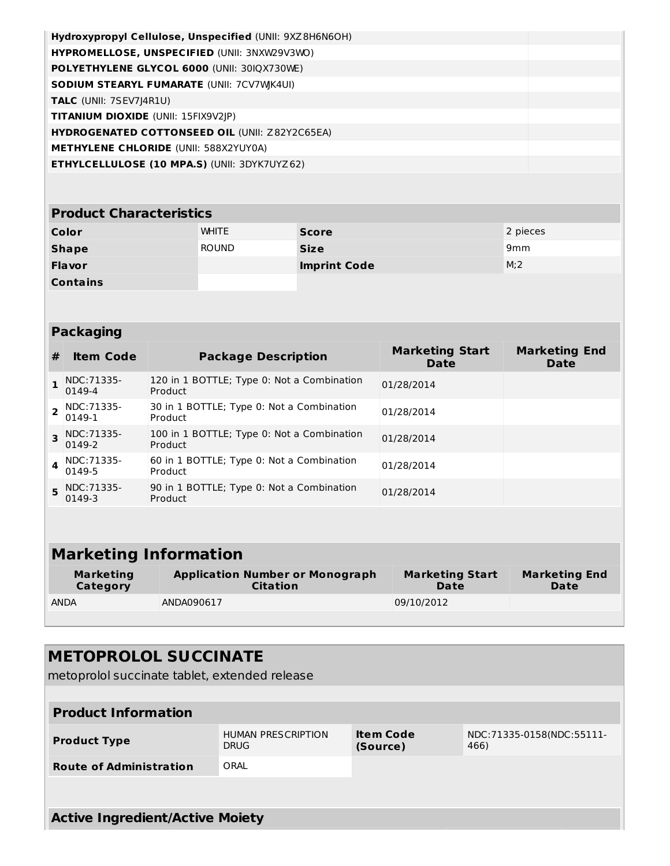| Hydroxypropyl Cellulose, Unspecified (UNII: 9XZ8H6N6OH) |  |
|---------------------------------------------------------|--|
| HYPROMELLOSE, UNSPECIFIED (UNII: 3NXW29V3WO)            |  |
| POLYETHYLENE GLYCOL 6000 (UNII: 30IQX730WE)             |  |
| <b>SODIUM STEARYL FUMARATE (UNII: 7CV7WK4UI)</b>        |  |
| <b>TALC</b> (UNII: 7SEV7J4R1U)                          |  |
| <b>TITANIUM DIOXIDE</b> (UNII: 15FIX9V2 P)              |  |
| <b>HYDROGENATED COTTONSEED OIL (UNII: Z82Y2C65EA)</b>   |  |
| <b>METHYLENE CHLORIDE (UNII: 588X2YUY0A)</b>            |  |
| <b>ETHYLCELLULOSE (10 MPA.S) (UNII: 3DYK7UYZ62)</b>     |  |

| <b>Product Characteristics</b> |              |                     |                  |  |  |
|--------------------------------|--------------|---------------------|------------------|--|--|
| Color                          | <b>WHITE</b> | <b>Score</b>        | 2 pieces         |  |  |
| <b>Shape</b>                   | <b>ROUND</b> | <b>Size</b>         | 9mm              |  |  |
| <b>Flavor</b>                  |              | <b>Imprint Code</b> | M <sub>i</sub> 2 |  |  |
| <b>Contains</b>                |              |                     |                  |  |  |

| <b>Packaging</b> |  |
|------------------|--|
|                  |  |

| #            | <b>Item Code</b>      | <b>Package Description</b>                            | <b>Marketing Start</b><br><b>Date</b> | <b>Marketing End</b><br><b>Date</b> |
|--------------|-----------------------|-------------------------------------------------------|---------------------------------------|-------------------------------------|
|              | NDC: 71335-<br>0149-4 | 120 in 1 BOTTLE; Type 0: Not a Combination<br>Product | 01/28/2014                            |                                     |
|              | NDC: 71335-<br>0149-1 | 30 in 1 BOTTLE; Type 0: Not a Combination<br>Product  | 01/28/2014                            |                                     |
|              | NDC: 71335-<br>0149-2 | 100 in 1 BOTTLE; Type 0: Not a Combination<br>Product | 01/28/2014                            |                                     |
| $\mathbf{A}$ | NDC: 71335-<br>0149-5 | 60 in 1 BOTTLE; Type 0: Not a Combination<br>Product  | 01/28/2014                            |                                     |
| 5.           | NDC: 71335-<br>0149-3 | 90 in 1 BOTTLE; Type 0: Not a Combination<br>Product  | 01/28/2014                            |                                     |
|              |                       |                                                       |                                       |                                     |

| <b>Marketing Information</b> |                                                           |                                       |                                     |  |  |
|------------------------------|-----------------------------------------------------------|---------------------------------------|-------------------------------------|--|--|
| <b>Marketing</b><br>Category | <b>Application Number or Monograph</b><br><b>Citation</b> | <b>Marketing Start</b><br><b>Date</b> | <b>Marketing End</b><br><b>Date</b> |  |  |
| <b>ANDA</b>                  | ANDA090617                                                | 09/10/2012                            |                                     |  |  |
|                              |                                                           |                                       |                                     |  |  |

| <b>METOPROLOL SUCCINATE</b><br>metoprolol succinate tablet, extended release |                                          |                              |                                   |  |  |  |
|------------------------------------------------------------------------------|------------------------------------------|------------------------------|-----------------------------------|--|--|--|
| <b>Product Information</b>                                                   |                                          |                              |                                   |  |  |  |
| <b>Product Type</b>                                                          | <b>HUMAN PRESCRIPTION</b><br><b>DRUG</b> | <b>Item Code</b><br>(Source) | NDC:71335-0158(NDC:55111-<br>466) |  |  |  |
| <b>Route of Administration</b>                                               | ORAL                                     |                              |                                   |  |  |  |
|                                                                              |                                          |                              |                                   |  |  |  |
| <b>Active Ingredient/Active Moiety</b>                                       |                                          |                              |                                   |  |  |  |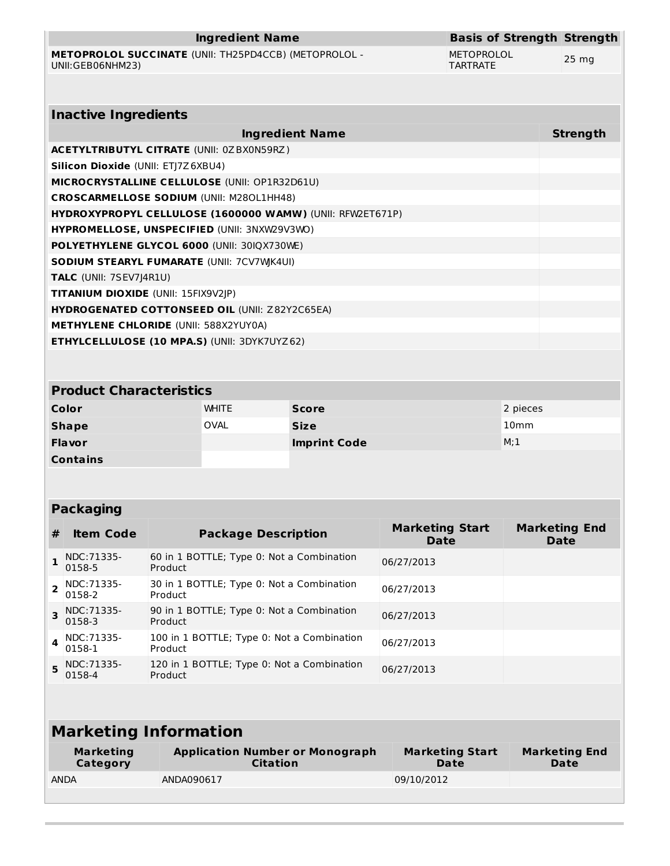**METOPROLOL SUCCINATE** (UNII: TH25PD4CCB) (METOPROLOL - UNII:GEB06NHM23)

**Basis of Strength Strength** METOPROLOL TARTRATE

25 mg

| <b>Inactive Ingredients</b>                                      |                 |
|------------------------------------------------------------------|-----------------|
| <b>Ingredient Name</b>                                           | <b>Strength</b> |
| <b>ACETYLTRIBUTYL CITRATE (UNII: 0ZBX0N59RZ)</b>                 |                 |
| Silicon Dioxide (UNII: ETJ7Z6XBU4)                               |                 |
| <b>MICROCRYSTALLINE CELLULOSE (UNII: OP1R32D61U)</b>             |                 |
| <b>CROSCARMELLOSE SODIUM (UNII: M280L1HH48)</b>                  |                 |
| <b>HYDROXYPROPYL CELLULOSE (1600000 WAMW) (UNII: RFW2ET671P)</b> |                 |
| <b>HYPROMELLOSE, UNSPECIFIED (UNII: 3NXW29V3WO)</b>              |                 |
| <b>POLYETHYLENE GLYCOL 6000 (UNII: 30IQX730WE)</b>               |                 |
| <b>SODIUM STEARYL FUMARATE (UNII: 7CV7WK4UI)</b>                 |                 |
| <b>TALC</b> (UNII: 7SEV7J4R1U)                                   |                 |
| <b>TITANIUM DIOXIDE (UNII: 15FIX9V2JP)</b>                       |                 |
| <b>HYDROGENATED COTTONSEED OIL (UNII: Z82Y2C65EA)</b>            |                 |
| <b>METHYLENE CHLORIDE (UNII: 588X2YUY0A)</b>                     |                 |
| <b>ETHYLCELLULOSE (10 MPA.S) (UNII: 3DYK7UYZ62)</b>              |                 |
|                                                                  |                 |

| <b>Product Characteristics</b> |              |                     |                  |
|--------------------------------|--------------|---------------------|------------------|
| Color                          | <b>WHITE</b> | <b>Score</b>        | 2 pieces         |
| <b>Shape</b>                   | <b>OVAL</b>  | <b>Size</b>         | 10 <sub>mm</sub> |
| <b>Flavor</b>                  |              | <b>Imprint Code</b> | M;1              |
| <b>Contains</b>                |              |                     |                  |

### **Packaging**

| #        | <b>Item Code</b>        | <b>Package Description</b>                            | <b>Marketing Start</b><br><b>Date</b> | <b>Marketing End</b><br>Date |
|----------|-------------------------|-------------------------------------------------------|---------------------------------------|------------------------------|
|          | NDC: 71335-<br>0158-5   | 60 in 1 BOTTLE; Type 0: Not a Combination<br>Product  | 06/27/2013                            |                              |
|          | NDC:71335-<br>0158-2    | 30 in 1 BOTTLE; Type 0: Not a Combination<br>Product  | 06/27/2013                            |                              |
|          | 3 NDC:71335-<br>0158-3  | 90 in 1 BOTTLE; Type 0: Not a Combination<br>Product  | 06/27/2013                            |                              |
| $\Delta$ | NDC:71335-<br>0158-1    | 100 in 1 BOTTLE; Type 0: Not a Combination<br>Product | 06/27/2013                            |                              |
|          | 5 NDC: 71335-<br>0158-4 | 120 in 1 BOTTLE; Type 0: Not a Combination<br>Product | 06/27/2013                            |                              |

| <b>Marketing Information</b> |                                                           |                                |                                     |
|------------------------------|-----------------------------------------------------------|--------------------------------|-------------------------------------|
| <b>Marketing</b><br>Category | <b>Application Number or Monograph</b><br><b>Citation</b> | <b>Marketing Start</b><br>Date | <b>Marketing End</b><br><b>Date</b> |
| <b>ANDA</b>                  | ANDA090617                                                | 09/10/2012                     |                                     |